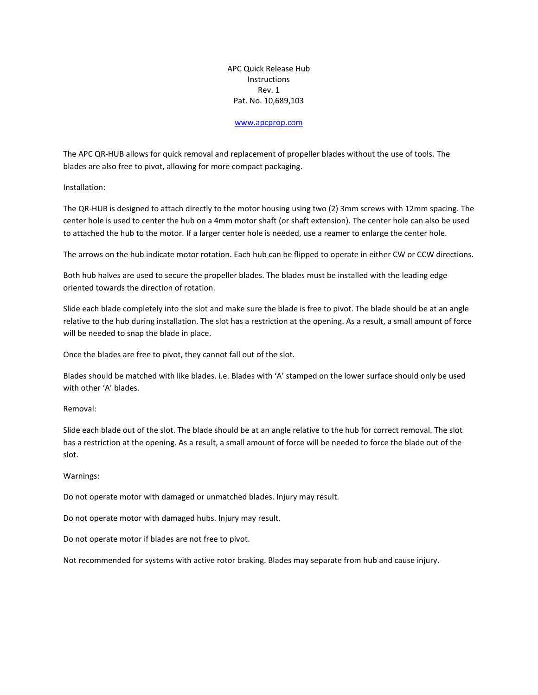APC Quick Release Hub **Instructions** Rev. 1 Pat. No. 10,689,103

## [www.apcprop.com](http://www.apcprop.com/)

The APC QR-HUB allows for quick removal and replacement of propeller blades without the use of tools. The blades are also free to pivot, allowing for more compact packaging.

Installation:

The QR-HUB is designed to attach directly to the motor housing using two (2) 3mm screws with 12mm spacing. The center hole is used to center the hub on a 4mm motor shaft (or shaft extension). The center hole can also be used to attached the hub to the motor. If a larger center hole is needed, use a reamer to enlarge the center hole.

The arrows on the hub indicate motor rotation. Each hub can be flipped to operate in either CW or CCW directions.

Both hub halves are used to secure the propeller blades. The blades must be installed with the leading edge oriented towards the direction of rotation.

Slide each blade completely into the slot and make sure the blade is free to pivot. The blade should be at an angle relative to the hub during installation. The slot has a restriction at the opening. As a result, a small amount of force will be needed to snap the blade in place.

Once the blades are free to pivot, they cannot fall out of the slot.

Blades should be matched with like blades. i.e. Blades with 'A' stamped on the lower surface should only be used with other 'A' blades.

Removal:

Slide each blade out of the slot. The blade should be at an angle relative to the hub for correct removal. The slot has a restriction at the opening. As a result, a small amount of force will be needed to force the blade out of the slot.

## Warnings:

Do not operate motor with damaged or unmatched blades. Injury may result.

Do not operate motor with damaged hubs. Injury may result.

Do not operate motor if blades are not free to pivot.

Not recommended for systems with active rotor braking. Blades may separate from hub and cause injury.